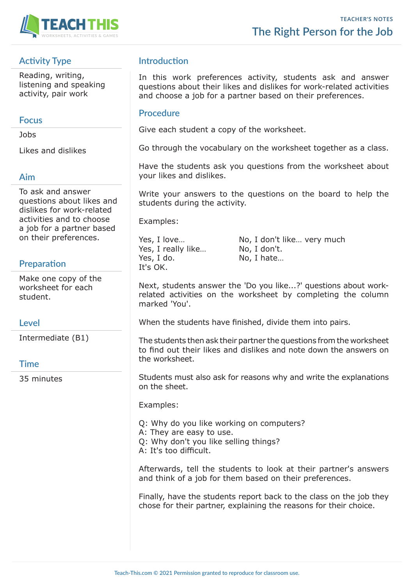

# **Activity Type**

Reading, writing, listening and speaking activity, pair work

### **Focus**

Jobs

Likes and dislikes

### **Aim**

To ask and answer questions about likes and dislikes for work-related activities and to choose a job for a partner based on their preferences.

## **Preparation**

Make one copy of the worksheet for each student.

#### **Level**

Intermediate (B1)

#### **Time**

35 minutes

## **Introduction**

In this work preferences activity, students ask and answer questions about their likes and dislikes for work-related activities and choose a job for a partner based on their preferences.

#### **Procedure**

Give each student a copy of the worksheet.

Go through the vocabulary on the worksheet together as a class.

Have the students ask you questions from the worksheet about your likes and dislikes.

Write your answers to the questions on the board to help the students during the activity.

Examples:

Yes, I really like... No, I don't. Yes, I do. No, I hate... It's OK.

Yes, I love... No, I don't like... very much

Next, students answer the 'Do you like...?' questions about workrelated activities on the worksheet by completing the column marked 'You'.

When the students have finished, divide them into pairs.

The students then ask their partner the questions from the worksheet to find out their likes and dislikes and note down the answers on the worksheet.

Students must also ask for reasons why and write the explanations on the sheet.

Examples:

Q: Why do you like working on computers?

A: They are easy to use.

- Q: Why don't you like selling things?
- A: It's too difficult.

Afterwards, tell the students to look at their partner's answers and think of a job for them based on their preferences.

Finally, have the students report back to the class on the job they chose for their partner, explaining the reasons for their choice.